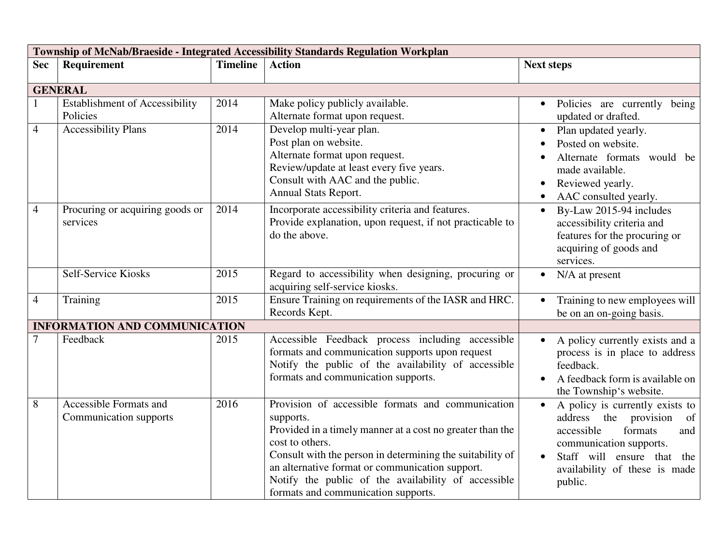| Township of McNab/Braeside - Integrated Accessibility Standards Regulation Workplan |                                                   |                 |                                                                                                                                                                                                                                                                                                                                                              |                                                                                                                                                                                                                  |
|-------------------------------------------------------------------------------------|---------------------------------------------------|-----------------|--------------------------------------------------------------------------------------------------------------------------------------------------------------------------------------------------------------------------------------------------------------------------------------------------------------------------------------------------------------|------------------------------------------------------------------------------------------------------------------------------------------------------------------------------------------------------------------|
| <b>Sec</b>                                                                          | Requirement                                       | <b>Timeline</b> | <b>Action</b>                                                                                                                                                                                                                                                                                                                                                | <b>Next steps</b>                                                                                                                                                                                                |
|                                                                                     |                                                   |                 |                                                                                                                                                                                                                                                                                                                                                              |                                                                                                                                                                                                                  |
|                                                                                     | <b>GENERAL</b>                                    |                 |                                                                                                                                                                                                                                                                                                                                                              |                                                                                                                                                                                                                  |
|                                                                                     | <b>Establishment of Accessibility</b><br>Policies | 2014            | Make policy publicly available.<br>Alternate format upon request.                                                                                                                                                                                                                                                                                            | Policies are currently being<br>updated or drafted.                                                                                                                                                              |
| $\overline{4}$                                                                      | <b>Accessibility Plans</b>                        | 2014            | Develop multi-year plan.<br>Post plan on website.<br>Alternate format upon request.<br>Review/update at least every five years.<br>Consult with AAC and the public.<br>Annual Stats Report.                                                                                                                                                                  | Plan updated yearly.<br>Posted on website.<br>Alternate formats would be<br>made available.<br>Reviewed yearly.<br>AAC consulted yearly.                                                                         |
| $\overline{4}$                                                                      | Procuring or acquiring goods or<br>services       | 2014            | Incorporate accessibility criteria and features.<br>Provide explanation, upon request, if not practicable to<br>do the above.                                                                                                                                                                                                                                | By-Law 2015-94 includes<br>$\bullet$<br>accessibility criteria and<br>features for the procuring or<br>acquiring of goods and<br>services.                                                                       |
|                                                                                     | <b>Self-Service Kiosks</b>                        | 2015            | Regard to accessibility when designing, procuring or<br>acquiring self-service kiosks.                                                                                                                                                                                                                                                                       | N/A at present                                                                                                                                                                                                   |
| $\overline{4}$                                                                      | Training                                          | 2015            | Ensure Training on requirements of the IASR and HRC.<br>Records Kept.                                                                                                                                                                                                                                                                                        | Training to new employees will<br>be on an on-going basis.                                                                                                                                                       |
|                                                                                     | <b>INFORMATION AND COMMUNICATION</b>              |                 |                                                                                                                                                                                                                                                                                                                                                              |                                                                                                                                                                                                                  |
| 7                                                                                   | Feedback                                          | 2015            | Accessible Feedback process including accessible<br>formats and communication supports upon request<br>Notify the public of the availability of accessible<br>formats and communication supports.                                                                                                                                                            | A policy currently exists and a<br>$\bullet$<br>process is in place to address<br>feedback.<br>A feedback form is available on<br>the Township's website.                                                        |
| 8                                                                                   | Accessible Formats and<br>Communication supports  | 2016            | Provision of accessible formats and communication<br>supports.<br>Provided in a timely manner at a cost no greater than the<br>cost to others.<br>Consult with the person in determining the suitability of<br>an alternative format or communication support.<br>Notify the public of the availability of accessible<br>formats and communication supports. | A policy is currently exists to<br>$\bullet$<br>address the provision<br>of<br>accessible<br>formats<br>and<br>communication supports.<br>Staff will ensure that the<br>availability of these is made<br>public. |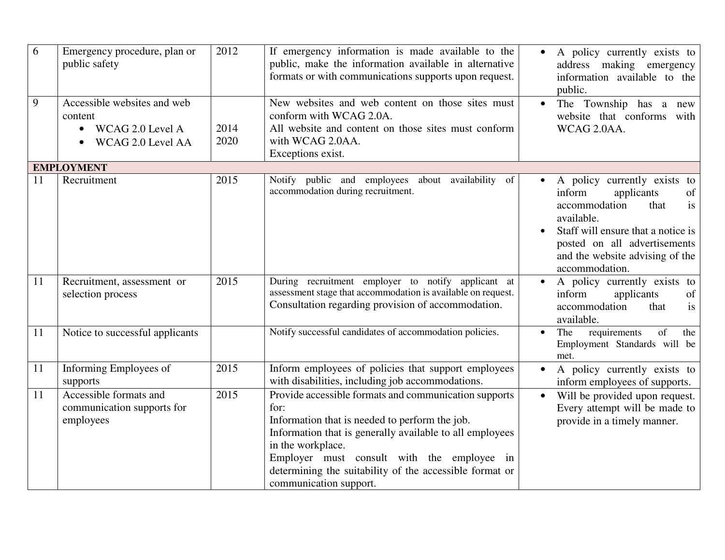| 6  | Emergency procedure, plan or<br>public safety                                                | 2012         | If emergency information is made available to the<br>public, make the information available in alternative<br>formats or with communications supports upon request.                                                                                                                                                                 | A policy currently exists to<br>$\bullet$<br>address making emergency<br>information available to the<br>public.                                                                                                                   |
|----|----------------------------------------------------------------------------------------------|--------------|-------------------------------------------------------------------------------------------------------------------------------------------------------------------------------------------------------------------------------------------------------------------------------------------------------------------------------------|------------------------------------------------------------------------------------------------------------------------------------------------------------------------------------------------------------------------------------|
| 9  | Accessible websites and web<br>content<br>WCAG 2.0 Level A<br>$\bullet$<br>WCAG 2.0 Level AA | 2014<br>2020 | New websites and web content on those sites must<br>conform with WCAG 2.0A.<br>All website and content on those sites must conform<br>with WCAG 2.0AA.<br>Exceptions exist.                                                                                                                                                         | The Township has a new<br>$\bullet$<br>website that conforms with<br>WCAG 2.0AA.                                                                                                                                                   |
|    | <b>EMPLOYMENT</b>                                                                            |              |                                                                                                                                                                                                                                                                                                                                     |                                                                                                                                                                                                                                    |
| 11 | Recruitment                                                                                  | 2015         | Notify public and employees about availability of<br>accommodation during recruitment.                                                                                                                                                                                                                                              | A policy currently exists to<br>inform<br>applicants<br>of<br>accommodation<br>that<br>is<br>available.<br>Staff will ensure that a notice is<br>posted on all advertisements<br>and the website advising of the<br>accommodation. |
| 11 | Recruitment, assessment or<br>selection process                                              | 2015         | During recruitment employer to notify applicant at<br>assessment stage that accommodation is available on request.<br>Consultation regarding provision of accommodation.                                                                                                                                                            | A policy currently exists to<br>inform<br>applicants<br>of<br>accommodation<br>that<br>is<br>available.                                                                                                                            |
| 11 | Notice to successful applicants                                                              |              | Notify successful candidates of accommodation policies.                                                                                                                                                                                                                                                                             | of<br>requirements<br>The<br>the<br>$\bullet$<br>Employment Standards will be<br>met.                                                                                                                                              |
| 11 | Informing Employees of<br>supports                                                           | 2015         | Inform employees of policies that support employees<br>with disabilities, including job accommodations.                                                                                                                                                                                                                             | A policy currently exists to<br>$\bullet$<br>inform employees of supports.                                                                                                                                                         |
| 11 | Accessible formats and<br>communication supports for<br>employees                            | 2015         | Provide accessible formats and communication supports<br>for:<br>Information that is needed to perform the job.<br>Information that is generally available to all employees<br>in the workplace.<br>Employer must consult with the employee in<br>determining the suitability of the accessible format or<br>communication support. | Will be provided upon request.<br>Every attempt will be made to<br>provide in a timely manner.                                                                                                                                     |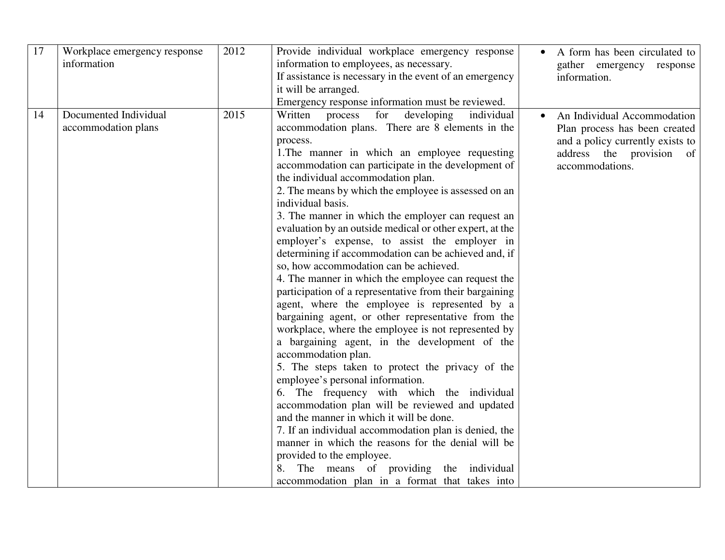| 17 | Workplace emergency response<br>information  | 2012 | Provide individual workplace emergency response<br>information to employees, as necessary.<br>If assistance is necessary in the event of an emergency<br>it will be arranged.<br>Emergency response information must be reviewed.                                                                                                                                                                                                                                                                                                                                                                                                                                                                                                                                                                                                                                                                                                                                                                                                                                                                                                                                                                                                                                                                                                                                                                                                                               | A form has been circulated to<br>gather emergency response<br>information.                                                                      |
|----|----------------------------------------------|------|-----------------------------------------------------------------------------------------------------------------------------------------------------------------------------------------------------------------------------------------------------------------------------------------------------------------------------------------------------------------------------------------------------------------------------------------------------------------------------------------------------------------------------------------------------------------------------------------------------------------------------------------------------------------------------------------------------------------------------------------------------------------------------------------------------------------------------------------------------------------------------------------------------------------------------------------------------------------------------------------------------------------------------------------------------------------------------------------------------------------------------------------------------------------------------------------------------------------------------------------------------------------------------------------------------------------------------------------------------------------------------------------------------------------------------------------------------------------|-------------------------------------------------------------------------------------------------------------------------------------------------|
| 14 | Documented Individual<br>accommodation plans | 2015 | individual<br>Written<br>for<br>developing<br>process<br>accommodation plans. There are 8 elements in the<br>process.<br>1. The manner in which an employee requesting<br>accommodation can participate in the development of<br>the individual accommodation plan.<br>2. The means by which the employee is assessed on an<br>individual basis.<br>3. The manner in which the employer can request an<br>evaluation by an outside medical or other expert, at the<br>employer's expense, to assist the employer in<br>determining if accommodation can be achieved and, if<br>so, how accommodation can be achieved.<br>4. The manner in which the employee can request the<br>participation of a representative from their bargaining<br>agent, where the employee is represented by a<br>bargaining agent, or other representative from the<br>workplace, where the employee is not represented by<br>a bargaining agent, in the development of the<br>accommodation plan.<br>5. The steps taken to protect the privacy of the<br>employee's personal information.<br>6. The frequency with which the individual<br>accommodation plan will be reviewed and updated<br>and the manner in which it will be done.<br>7. If an individual accommodation plan is denied, the<br>manner in which the reasons for the denial will be<br>provided to the employee.<br>The means of providing the individual<br>8.<br>accommodation plan in a format that takes into | An Individual Accommodation<br>Plan process has been created<br>and a policy currently exists to<br>address the provision of<br>accommodations. |